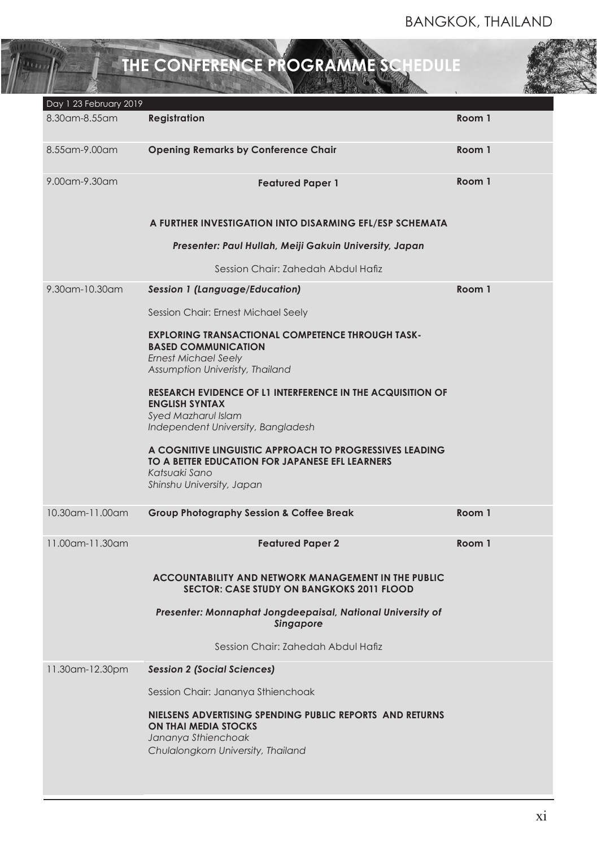# **THE CONFERENCE PROGRAMME SCHEDULE**

 $\overline{m_{th}}$ 

| Day 1 23 February 2019 |                                                                                                                                                                |        |  |
|------------------------|----------------------------------------------------------------------------------------------------------------------------------------------------------------|--------|--|
| 8.30 am - 8.55 am      | <b>Registration</b>                                                                                                                                            | Room 1 |  |
| 8.55am-9.00am          | <b>Opening Remarks by Conference Chair</b>                                                                                                                     | Room 1 |  |
| 9.00 am - 9.30 am      | <b>Featured Paper 1</b>                                                                                                                                        | Room 1 |  |
|                        | A FURTHER INVESTIGATION INTO DISARMING EFL/ESP SCHEMATA                                                                                                        |        |  |
|                        | Presenter: Paul Hullah, Meiji Gakuin University, Japan                                                                                                         |        |  |
|                        | Session Chair: Zahedah Abdul Hafiz                                                                                                                             |        |  |
| 9.30am-10.30am         | <b>Session 1 (Language/Education)</b>                                                                                                                          | Room 1 |  |
|                        | Session Chair: Ernest Michael Seely                                                                                                                            |        |  |
|                        | <b>EXPLORING TRANSACTIONAL COMPETENCE THROUGH TASK-</b><br><b>BASED COMMUNICATION</b><br><b>Ernest Michael Seely</b><br>Assumption Univeristy, Thailand        |        |  |
|                        | <b>RESEARCH EVIDENCE OF L1 INTERFERENCE IN THE ACQUISITION OF</b><br><b>ENGLISH SYNTAX</b><br><b>Syed Mazharul Islam</b><br>Independent University, Bangladesh |        |  |
|                        | A COGNITIVE LINGUISTIC APPROACH TO PROGRESSIVES LEADING<br>TO A BETTER EDUCATION FOR JAPANESE EFL LEARNERS<br>Katsuaki Sano<br>Shinshu University, Japan       |        |  |
| 10.30am-11.00am        | <b>Group Photography Session &amp; Coffee Break</b>                                                                                                            | Room 1 |  |
| 11.00am-11.30am        | <b>Featured Paper 2</b>                                                                                                                                        | Room 1 |  |
|                        | <b>ACCOUNTABILITY AND NETWORK MANAGEMENT IN THE PUBLIC</b><br><b>SECTOR: CASE STUDY ON BANGKOKS 2011 FLOOD</b>                                                 |        |  |
|                        | Presenter: Monnaphat Jongdeepaisal, National University of<br>singapore                                                                                        |        |  |
|                        | Session Chair: Zahedah Abdul Hafiz                                                                                                                             |        |  |
| 11.30am-12.30pm        | <b>Session 2 (Social Sciences)</b>                                                                                                                             |        |  |
|                        | Session Chair: Jananya Sthienchoak                                                                                                                             |        |  |
|                        | NIELSENS ADVERTISING SPENDING PUBLIC REPORTS AND RETURNS<br><b>ON THAI MEDIA STOCKS</b><br>Jananya Sthienchoak<br>Chulalongkorn University, Thailand           |        |  |
|                        |                                                                                                                                                                |        |  |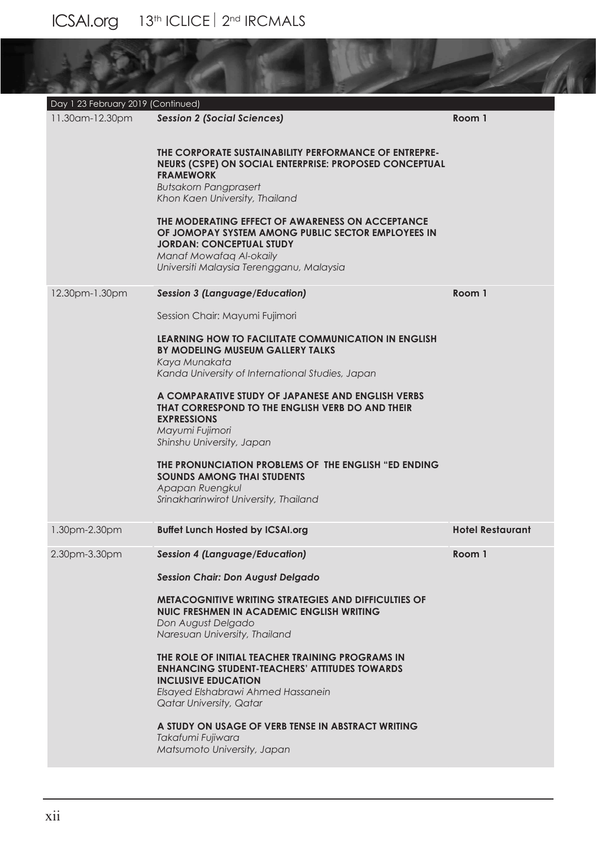| Day 1 23 February 2019 (Continued) |                                                                                                                                                                                                                  |                         |  |  |  |  |
|------------------------------------|------------------------------------------------------------------------------------------------------------------------------------------------------------------------------------------------------------------|-------------------------|--|--|--|--|
| 11.30am-12.30pm                    | <b>Session 2 (Social Sciences)</b>                                                                                                                                                                               | Room 1                  |  |  |  |  |
|                                    | THE CORPORATE SUSTAINABILITY PERFORMANCE OF ENTREPRE-<br>NEURS (CSPE) ON SOCIAL ENTERPRISE: PROPOSED CONCEPTUAL<br><b>FRAMEWORK</b><br><b>Butsakorn Pangprasert</b><br>Khon Kaen University, Thailand            |                         |  |  |  |  |
|                                    | THE MODERATING EFFECT OF AWARENESS ON ACCEPTANCE<br>OF JOMOPAY SYSTEM AMONG PUBLIC SECTOR EMPLOYEES IN<br><b>JORDAN: CONCEPTUAL STUDY</b><br>Manaf Mowafaq Al-okaily<br>Universiti Malaysia Terengganu, Malaysia |                         |  |  |  |  |
| 12.30pm-1.30pm                     | <b>Session 3 (Language/Education)</b>                                                                                                                                                                            | Room 1                  |  |  |  |  |
|                                    | Session Chair: Mayumi Fujimori                                                                                                                                                                                   |                         |  |  |  |  |
|                                    | <b>LEARNING HOW TO FACILITATE COMMUNICATION IN ENGLISH</b><br>BY MODELING MUSEUM GALLERY TALKS<br>Kaya Munakata<br>Kanda University of International Studies, Japan                                              |                         |  |  |  |  |
|                                    | A COMPARATIVE STUDY OF JAPANESE AND ENGLISH VERBS<br>THAT CORRESPOND TO THE ENGLISH VERB DO AND THEIR<br><b>EXPRESSIONS</b><br>Mayumi Fujimori<br>Shinshu University, Japan                                      |                         |  |  |  |  |
|                                    | THE PRONUNCIATION PROBLEMS OF THE ENGLISH "ED ENDING<br><b>SOUNDS AMONG THAI STUDENTS</b><br>Apapan Ruengkul<br>Srinakharinwirot University, Thailand                                                            |                         |  |  |  |  |
| 1.30pm-2.30pm                      | <b>Buffet Lunch Hosted by ICSAI.org</b>                                                                                                                                                                          | <b>Hotel Restaurant</b> |  |  |  |  |
| 2.30pm-3.30pm                      | <b>Session 4 (Language/Education)</b>                                                                                                                                                                            | Room 1                  |  |  |  |  |
|                                    | <b>Session Chair: Don August Delgado</b>                                                                                                                                                                         |                         |  |  |  |  |
|                                    | <b>METACOGNITIVE WRITING STRATEGIES AND DIFFICULTIES OF</b><br>NUIC FRESHMEN IN ACADEMIC ENGLISH WRITING<br>Don August Delgado<br>Naresuan University, Thailand                                                  |                         |  |  |  |  |
|                                    | THE ROLE OF INITIAL TEACHER TRAINING PROGRAMS IN<br><b>ENHANCING STUDENT-TEACHERS' ATTITUDES TOWARDS</b><br><b>INCLUSIVE EDUCATION</b><br>Elsayed Elshabrawi Ahmed Hassanein<br><b>Qatar University, Qatar</b>   |                         |  |  |  |  |
|                                    | A STUDY ON USAGE OF VERB TENSE IN ABSTRACT WRITING<br>Takafumi Fujiwara<br>Matsumoto University, Japan                                                                                                           |                         |  |  |  |  |

19

N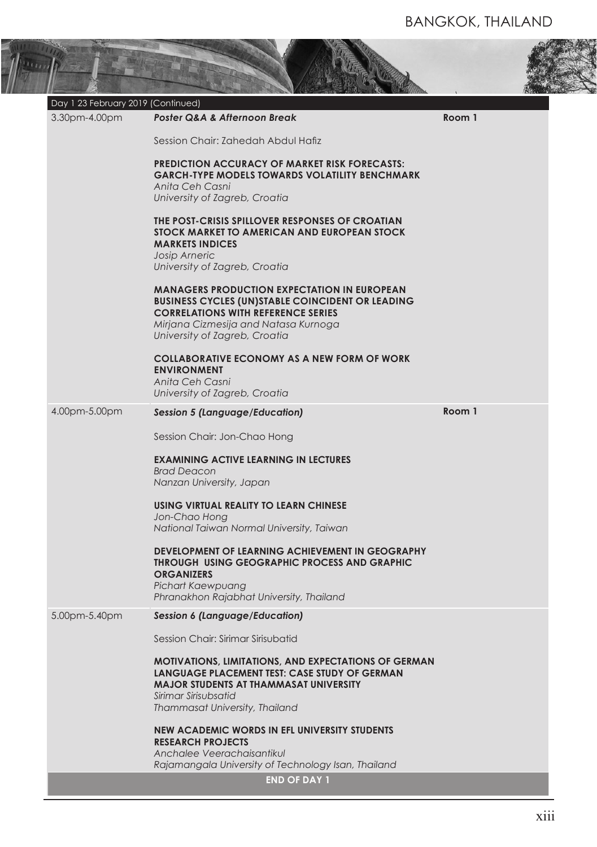公民

| Day 1 23 February 2019 (Continued)<br>3.30pm-4.00pm | Poster Q&A & Afternoon Break                                                                                                                                                                                                        | Room 1 |
|-----------------------------------------------------|-------------------------------------------------------------------------------------------------------------------------------------------------------------------------------------------------------------------------------------|--------|
|                                                     | Session Chair: Zahedah Abdul Hafiz                                                                                                                                                                                                  |        |
|                                                     | <b>PREDICTION ACCURACY OF MARKET RISK FORECASTS:</b><br><b>GARCH-TYPE MODELS TOWARDS VOLATILITY BENCHMARK</b><br>Anita Ceh Casni<br>University of Zagreb, Croatia                                                                   |        |
|                                                     | THE POST-CRISIS SPILLOVER RESPONSES OF CROATIAN<br>STOCK MARKET TO AMERICAN AND EUROPEAN STOCK<br><b>MARKETS INDICES</b><br>Josip Arneric<br>University of Zagreb, Croatia                                                          |        |
|                                                     | <b>MANAGERS PRODUCTION EXPECTATION IN EUROPEAN</b><br><b>BUSINESS CYCLES (UN)STABLE COINCIDENT OR LEADING</b><br><b>CORRELATIONS WITH REFERENCE SERIES</b><br>Mirjana Cizmesija and Natasa Kurnoga<br>University of Zagreb, Croatia |        |
|                                                     | <b>COLLABORATIVE ECONOMY AS A NEW FORM OF WORK</b><br><b>ENVIRONMENT</b><br>Anita Ceh Casni<br>University of Zagreb, Croatia                                                                                                        |        |
| 4.00pm-5.00pm                                       | <b>Session 5 (Language/Education)</b>                                                                                                                                                                                               | Room 1 |
|                                                     | Session Chair: Jon-Chao Hong                                                                                                                                                                                                        |        |
|                                                     | <b>EXAMINING ACTIVE LEARNING IN LECTURES</b><br><b>Brad Deacon</b><br>Nanzan University, Japan                                                                                                                                      |        |
|                                                     | USING VIRTUAL REALITY TO LEARN CHINESE<br>Jon-Chao Hong<br>National Taiwan Normal University, Taiwan                                                                                                                                |        |
|                                                     | <b>DEVELOPMENT OF LEARNING ACHIEVEMENT IN GEOGRAPHY</b><br><b>THROUGH USING GEOGRAPHIC PROCESS AND GRAPHIC</b><br><b>ORGANIZERS</b><br>Pichart Kaewpuang<br>Phranakhon Rajabhat University, Thailand                                |        |
| 5.00pm-5.40pm                                       | <b>Session 6 (Language/Education)</b>                                                                                                                                                                                               |        |
|                                                     | Session Chair: Sirimar Sirisubatid                                                                                                                                                                                                  |        |
|                                                     | <b>MOTIVATIONS, LIMITATIONS, AND EXPECTATIONS OF GERMAN</b><br>LANGUAGE PLACEMENT TEST: CASE STUDY OF GERMAN<br><b>MAJOR STUDENTS AT THAMMASAT UNIVERSITY</b><br>Sirimar Sirisubsatid<br>Thammasat University, Thailand             |        |
|                                                     | <b>NEW ACADEMIC WORDS IN EFL UNIVERSITY STUDENTS</b><br><b>RESEARCH PROJECTS</b><br>Anchalee Veerachaisantikul                                                                                                                      |        |
|                                                     | Rajamangala University of Technology Isan, Thailand<br><b>END OF DAY 1</b>                                                                                                                                                          |        |

 $\tilde{\mathcal{J}}$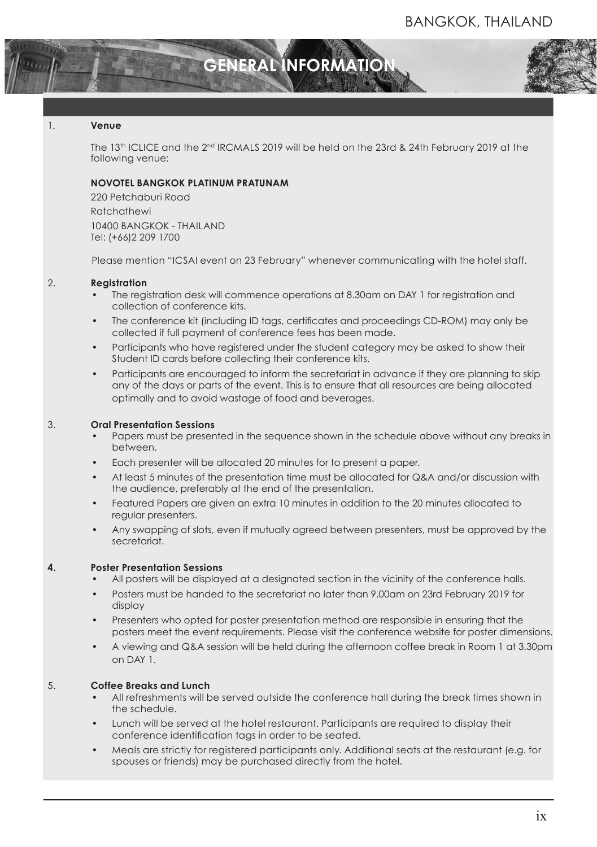

# 1. **Venue**

The 13th ICLICE and the 2nd IRCMALS 2019 will be held on the 23rd & 24th February 2019 at the following venue:

#### **NOVOTEL BANGKOK PLATINUM PRATUNAM**

220 Petchaburi Road **Ratchathewi** 10400 BANGKOK - THAILAND Tel: (+66)2 209 1700

Please mention "ICSAI event on 23 February" whenever communicating with the hotel staff.

#### 2. **Registration**

- The registration desk will commence operations at 8.30am on DAY 1 for registration and collection of conference kits.
- The conference kit (including ID tags, certifcates and proceedings CD-ROM) may only be collected if full payment of conference fees has been made.
- Participants who have registered under the student category may be asked to show their Student ID cards before collecting their conference kits.
- Participants are encouraged to inform the secretariat in advance if they are planning to skip any of the days or parts of the event. This is to ensure that all resources are being allocated optimally and to avoid wastage of food and beverages.

#### 3. **Oral Presentation Sessions**

- Papers must be presented in the sequence shown in the schedule above without any breaks in between.
- Each presenter will be allocated 20 minutes for to present a paper.
- At least 5 minutes of the presentation time must be allocated for Q&A and/or discussion with the audience, preferably at the end of the presentation.
- Featured Papers are given an extra 10 minutes in addition to the 20 minutes allocated to regular presenters.
- Any swapping of slots, even if mutually agreed between presenters, must be approved by the secretariat.

# **4. Poster Presentation Sessions**

- All posters will be displayed at a designated section in the vicinity of the conference halls.
- Posters must be handed to the secretariat no later than 9.00am on 23rd February 2019 for display
- Presenters who opted for poster presentation method are responsible in ensuring that the posters meet the event requirements. Please visit the conference website for poster dimensions.
- A viewing and Q&A session will be held during the afternoon coffee break in Room 1 at 3.30pm on DAY 1.

# 5. **Coffee Breaks and Lunch**

- All refreshments will be served outside the conference hall during the break times shown in the schedule.
- Lunch will be served at the hotel restaurant. Participants are required to display their conference identifcation tags in order to be seated.
- Meals are strictly for registered participants only. Additional seats at the restaurant (e.g. for spouses or friends) may be purchased directly from the hotel.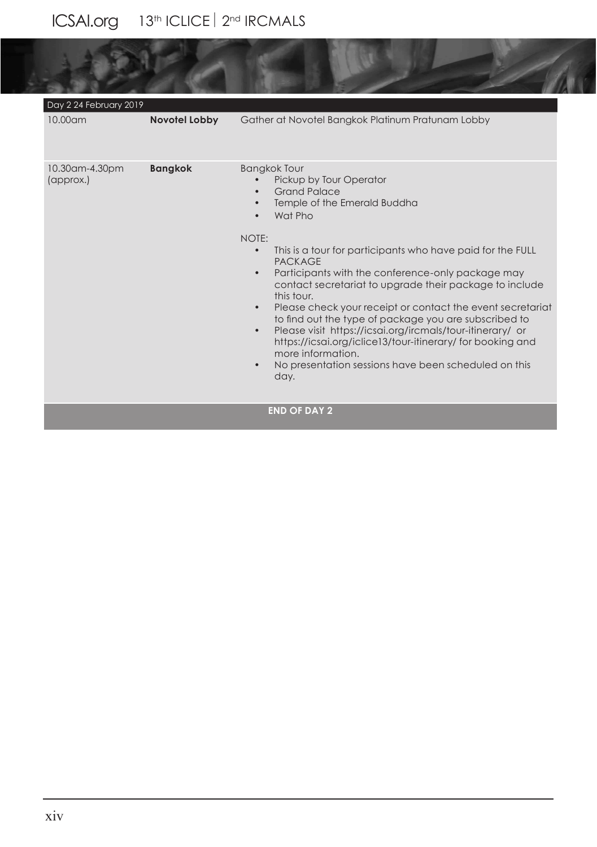# ICSAI.org 13<sup>th</sup> ICLICE 2<sup>nd</sup> IRCMALS

| Day 2 24 February 2019      |                      |                                                                                                                                                                                                                                                                                                                                                                                                                                                                                                                                                                                                                                                                                                                                                 |
|-----------------------------|----------------------|-------------------------------------------------------------------------------------------------------------------------------------------------------------------------------------------------------------------------------------------------------------------------------------------------------------------------------------------------------------------------------------------------------------------------------------------------------------------------------------------------------------------------------------------------------------------------------------------------------------------------------------------------------------------------------------------------------------------------------------------------|
| 10.00am                     | <b>Novotel Lobby</b> | Gather at Novotel Bangkok Platinum Pratunam Lobby                                                                                                                                                                                                                                                                                                                                                                                                                                                                                                                                                                                                                                                                                               |
| 10.30am-4.30pm<br>(approx.) | <b>Bangkok</b>       | <b>Bangkok Tour</b><br>Pickup by Tour Operator<br><b>Grand Palace</b><br>Temple of the Emerald Buddha<br>Wat Pho<br>NOTE:<br>This is a tour for participants who have paid for the FULL<br>$\bullet$<br><b>PACKAGE</b><br>Participants with the conference-only package may<br>$\bullet$<br>contact secretariat to upgrade their package to include<br>this tour.<br>Please check your receipt or contact the event secretariat<br>$\bullet$<br>to find out the type of package you are subscribed to<br>Please visit https://icsai.org/ircmals/tour-itinerary/ or<br>$\bullet$<br>https://icsai.org/iclice13/tour-itinerary/ for booking and<br>more information.<br>No presentation sessions have been scheduled on this<br>$\bullet$<br>day. |
|                             |                      | <b>END OF DAY 2</b>                                                                                                                                                                                                                                                                                                                                                                                                                                                                                                                                                                                                                                                                                                                             |

**SILLER**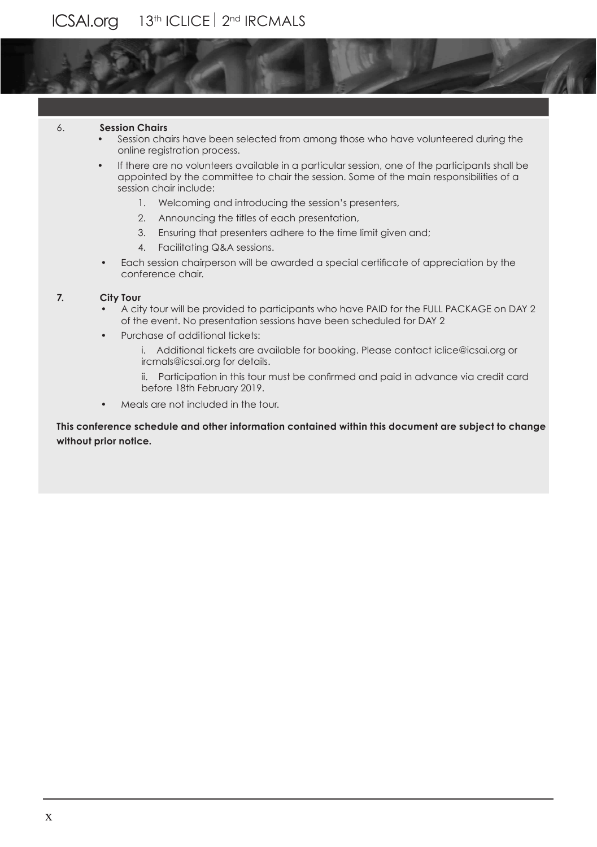#### 6. **Session Chairs**

- Session chairs have been selected from among those who have volunteered during the online registration process.
- If there are no volunteers available in a particular session, one of the participants shall be appointed by the committee to chair the session. Some of the main responsibilities of a session chair include:
	- 1. Welcoming and introducing the session's presenters,
	- 2. Announcing the titles of each presentation,
	- 3. Ensuring that presenters adhere to the time limit given and;
	- 4. Facilitating Q&A sessions.
- Each session chairperson will be awarded a special certifcate of appreciation by the conference chair.

# **7. City Tour**

- A city tour will be provided to participants who have PAID for the FULL PACKAGE on DAY 2 of the event. No presentation sessions have been scheduled for DAY 2
- Purchase of additional tickets:
	- i. Additional tickets are available for booking. Please contact iclice@icsai.org or ircmals@icsai.org for details.
	- ii. Participation in this tour must be confrmed and paid in advance via credit card before 18th February 2019.
- Meals are not included in the tour.

**This conference schedule and other information contained within this document are subject to change without prior notice.**